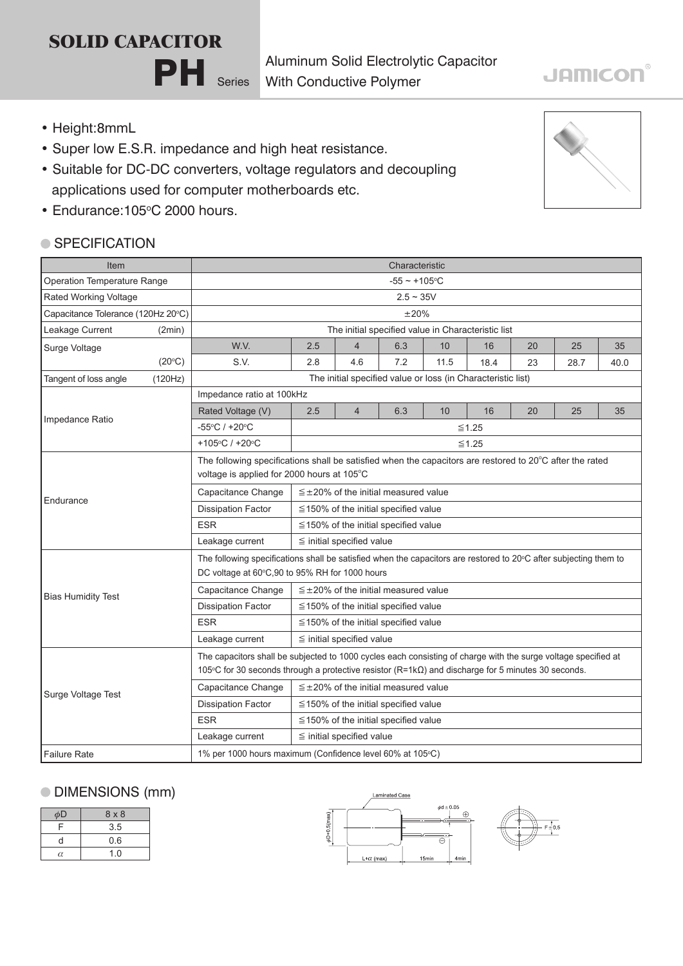## **SOLID CAPACITOR**

Aluminum Solid Electrolytic Capacitor With Conductive Polymer

### • Height:8mmL

• Super low E.S.R. impedance and high heat resistance.

PH Series

- Suitable for DC-DC converters, voltage regulators and decoupling applications used for computer motherboards etc.
- Endurance: 105°C 2000 hours.

#### ● SPECIFICATION

| Item                               |         | Characteristic                                                                                                                                                                                                               |                                               |                |     |      |      |    |      |      |
|------------------------------------|---------|------------------------------------------------------------------------------------------------------------------------------------------------------------------------------------------------------------------------------|-----------------------------------------------|----------------|-----|------|------|----|------|------|
| Operation Temperature Range        |         | $-55 - +105$ °C                                                                                                                                                                                                              |                                               |                |     |      |      |    |      |      |
| Rated Working Voltage              |         | $2.5 - 35V$                                                                                                                                                                                                                  |                                               |                |     |      |      |    |      |      |
| Capacitance Tolerance (120Hz 20°C) |         | $\pm 20\%$                                                                                                                                                                                                                   |                                               |                |     |      |      |    |      |      |
| Leakage Current                    | (2min)  | The initial specified value in Characteristic list                                                                                                                                                                           |                                               |                |     |      |      |    |      |      |
| Surge Voltage                      |         | W.V.                                                                                                                                                                                                                         | 2.5                                           | $\overline{4}$ | 6.3 | 10   | 16   | 20 | 25   | 35   |
|                                    | (20°C)  | S.V.                                                                                                                                                                                                                         | 2.8                                           | 4.6            | 7.2 | 11.5 | 18.4 | 23 | 28.7 | 40.0 |
| Tangent of loss angle              | (120Hz) | The initial specified value or loss (in Characteristic list)                                                                                                                                                                 |                                               |                |     |      |      |    |      |      |
| Impedance Ratio                    |         | Impedance ratio at 100kHz                                                                                                                                                                                                    |                                               |                |     |      |      |    |      |      |
|                                    |         | Rated Voltage (V)                                                                                                                                                                                                            | 2.5                                           | $\overline{4}$ | 6.3 | 10   | 16   | 20 | 25   | 35   |
|                                    |         | -55°C / +20°C                                                                                                                                                                                                                | $≤1.25$                                       |                |     |      |      |    |      |      |
|                                    |         | +105°C / +20°C                                                                                                                                                                                                               | $≤1.25$                                       |                |     |      |      |    |      |      |
| Endurance                          |         | The following specifications shall be satisfied when the capacitors are restored to 20°C after the rated<br>voltage is applied for 2000 hours at 105°C                                                                       |                                               |                |     |      |      |    |      |      |
|                                    |         | Capacitance Change<br>$\leq \pm 20\%$ of the initial measured value                                                                                                                                                          |                                               |                |     |      |      |    |      |      |
|                                    |         | <b>Dissipation Factor</b>                                                                                                                                                                                                    | $\leq$ 150% of the initial specified value    |                |     |      |      |    |      |      |
|                                    |         | <b>ESR</b>                                                                                                                                                                                                                   | $\leq$ 150% of the initial specified value    |                |     |      |      |    |      |      |
|                                    |         | Leakage current                                                                                                                                                                                                              | $\leq$ initial specified value                |                |     |      |      |    |      |      |
| <b>Bias Humidity Test</b>          |         | The following specifications shall be satisfied when the capacitors are restored to 20°C after subjecting them to<br>DC voltage at 60°C,90 to 95% RH for 1000 hours                                                          |                                               |                |     |      |      |    |      |      |
|                                    |         | Capacitance Change                                                                                                                                                                                                           | $\leq \pm 20\%$ of the initial measured value |                |     |      |      |    |      |      |
|                                    |         | <b>Dissipation Factor</b>                                                                                                                                                                                                    | ≦150% of the initial specified value          |                |     |      |      |    |      |      |
|                                    |         | <b>ESR</b>                                                                                                                                                                                                                   | $\leq$ 150% of the initial specified value    |                |     |      |      |    |      |      |
|                                    |         | Leakage current                                                                                                                                                                                                              | $\leq$ initial specified value                |                |     |      |      |    |      |      |
| Surge Voltage Test                 |         | The capacitors shall be subjected to 1000 cycles each consisting of charge with the surge voltage specified at<br>105 °C for 30 seconds through a protective resistor $(R=1k\Omega)$ and discharge for 5 minutes 30 seconds. |                                               |                |     |      |      |    |      |      |
|                                    |         | Capacitance Change                                                                                                                                                                                                           | $\leq \pm 20\%$ of the initial measured value |                |     |      |      |    |      |      |
|                                    |         | <b>Dissipation Factor</b>                                                                                                                                                                                                    | $\leq$ 150% of the initial specified value    |                |     |      |      |    |      |      |
|                                    |         | <b>ESR</b>                                                                                                                                                                                                                   | $\leq$ 150% of the initial specified value    |                |     |      |      |    |      |      |
|                                    |         | Leakage current                                                                                                                                                                                                              | $\leq$ initial specified value                |                |     |      |      |    |      |      |
| Failure Rate                       |         | 1% per 1000 hours maximum (Confidence level 60% at 105°C)                                                                                                                                                                    |                                               |                |     |      |      |    |      |      |

### DIMENSIONS (mm)

| φD       | $8 \times 8$ |
|----------|--------------|
| F        | 3.5          |
| d        | 0.6          |
| $\alpha$ | 1.0          |





# **JAMICON®**